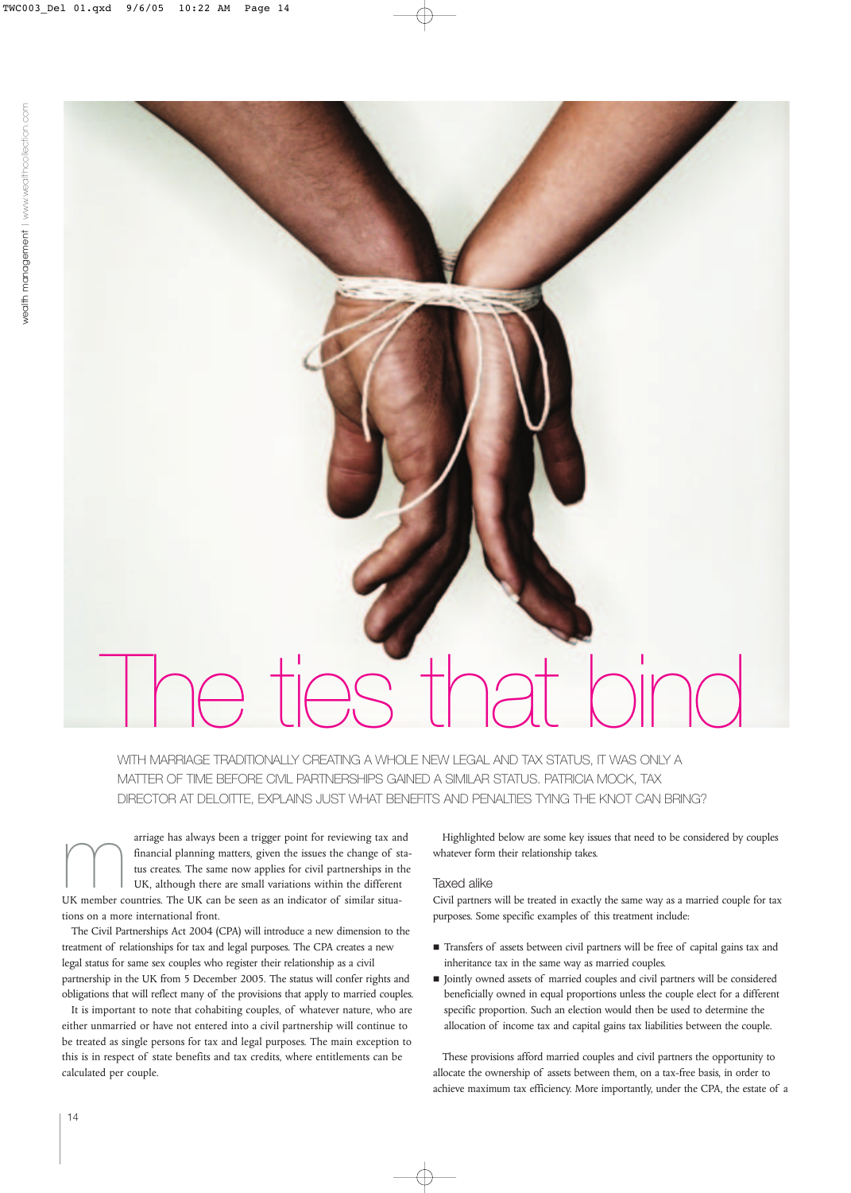# The ties that bind

WITH MARRIAGE TRADITIONALLY CREATING A WHOLE NEW LEGAL AND TAX STATUS, IT WAS ONLY A MATTER OF TIME BEFORE CIVIL PARTNERSHIPS GAINED A SIMILAR STATUS. PATRICIA MOCK, TAX DIRECTOR AT DELOITTE, EXPLAINS JUST WHAT BENEFITS AND PENALTIES TYING THE KNOT CAN BRING?

arriage has always been a trigger point for reviewing tax and<br>
financial planning matters, given the issues the change of sta<br>
tus creates. The same now applies for civil partnerships in the<br>
UK member countries. The UK ca financial planning matters, given the issues the change of status creates. The same now applies for civil partnerships in the UK, although there are small variations within the different tions on a more international front.

The Civil Partnerships Act 2004 (CPA) will introduce a new dimension to the treatment of relationships for tax and legal purposes. The CPA creates a new legal status for same sex couples who register their relationship as a civil partnership in the UK from 5 December 2005. The status will confer rights and obligations that will reflect many of the provisions that apply to married couples.

It is important to note that cohabiting couples, of whatever nature, who are either unmarried or have not entered into a civil partnership will continue to be treated as single persons for tax and legal purposes. The main exception to this is in respect of state benefits and tax credits, where entitlements can be calculated per couple.

Highlighted below are some key issues that need to be considered by couples whatever form their relationship takes.

# Taxed alike

Civil partners will be treated in exactly the same way as a married couple for tax purposes. Some specific examples of this treatment include:

- Transfers of assets between civil partners will be free of capital gains tax and inheritance tax in the same way as married couples.
- $\blacksquare$  Jointly owned assets of married couples and civil partners will be considered beneficially owned in equal proportions unless the couple elect for a different specific proportion. Such an election would then be used to determine the allocation of income tax and capital gains tax liabilities between the couple.

These provisions afford married couples and civil partners the opportunity to allocate the ownership of assets between them, on a tax-free basis, in order to achieve maximum tax efficiency. More importantly, under the CPA, the estate of a